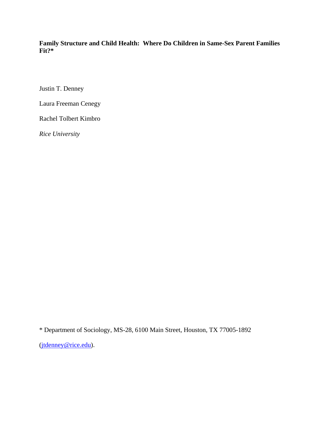**Family Structure and Child Health: Where Do Children in Same-Sex Parent Families Fit?\*** 

Justin T. Denney

Laura Freeman Cenegy

Rachel Tolbert Kimbro

*Rice University* 

\* Department of Sociology, MS-28, 6100 Main Street, Houston, TX 77005-1892

(jtdenney@rice.edu).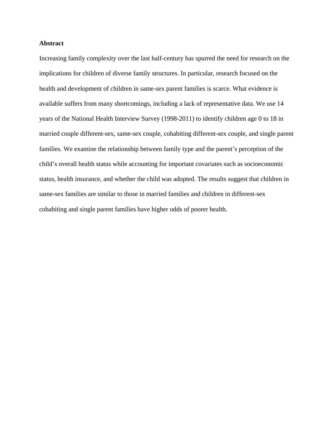# **Abstract**

Increasing family complexity over the last half-century has spurred the need for research on the implications for children of diverse family structures. In particular, research focused on the health and development of children in same-sex parent families is scarce. What evidence is available suffers from many shortcomings, including a lack of representative data. We use 14 years of the National Health Interview Survey (1998-2011) to identify children age 0 to 18 in married couple different-sex, same-sex couple, cohabiting different-sex couple, and single parent families. We examine the relationship between family type and the parent's perception of the child's overall health status while accounting for important covariates such as socioeconomic status, health insurance, and whether the child was adopted. The results suggest that children in same-sex families are similar to those in married families and children in different-sex cohabiting and single parent families have higher odds of poorer health.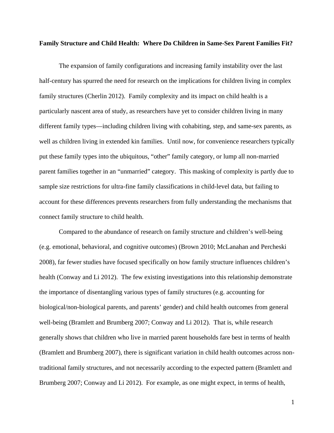## **Family Structure and Child Health: Where Do Children in Same-Sex Parent Families Fit?**

The expansion of family configurations and increasing family instability over the last half-century has spurred the need for research on the implications for children living in complex family structures (Cherlin 2012). Family complexity and its impact on child health is a particularly nascent area of study, as researchers have yet to consider children living in many different family types—including children living with cohabiting, step, and same-sex parents, as well as children living in extended kin families. Until now, for convenience researchers typically put these family types into the ubiquitous, "other" family category, or lump all non-married parent families together in an "unmarried" category. This masking of complexity is partly due to sample size restrictions for ultra-fine family classifications in child-level data, but failing to account for these differences prevents researchers from fully understanding the mechanisms that connect family structure to child health.

Compared to the abundance of research on family structure and children's well-being (e.g. emotional, behavioral, and cognitive outcomes) (Brown 2010; McLanahan and Percheski 2008), far fewer studies have focused specifically on how family structure influences children's health (Conway and Li 2012). The few existing investigations into this relationship demonstrate the importance of disentangling various types of family structures (e.g. accounting for biological/non-biological parents, and parents' gender) and child health outcomes from general well-being (Bramlett and Brumberg 2007; Conway and Li 2012). That is, while research generally shows that children who live in married parent households fare best in terms of health (Bramlett and Brumberg 2007), there is significant variation in child health outcomes across nontraditional family structures, and not necessarily according to the expected pattern (Bramlett and Brumberg 2007; Conway and Li 2012). For example, as one might expect, in terms of health,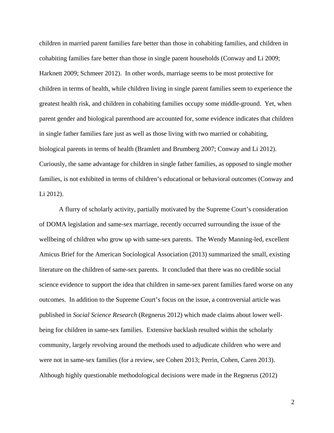children in married parent families fare better than those in cohabiting families, and children in cohabiting families fare better than those in single parent households (Conway and Li 2009; Harknett 2009; Schmeer 2012). In other words, marriage seems to be most protective for children in terms of health, while children living in single parent families seem to experience the greatest health risk, and children in cohabiting families occupy some middle-ground. Yet, when parent gender and biological parenthood are accounted for, some evidence indicates that children in single father families fare just as well as those living with two married or cohabiting, biological parents in terms of health (Bramlett and Brumberg 2007; Conway and Li 2012). Curiously, the same advantage for children in single father families, as opposed to single mother families, is not exhibited in terms of children's educational or behavioral outcomes (Conway and Li 2012).

A flurry of scholarly activity, partially motivated by the Supreme Court's consideration of DOMA legislation and same-sex marriage, recently occurred surrounding the issue of the wellbeing of children who grow up with same-sex parents. The Wendy Manning-led, excellent Amicus Brief for the American Sociological Association (2013) summarized the small, existing literature on the children of same-sex parents. It concluded that there was no credible social science evidence to support the idea that children in same-sex parent families fared worse on any outcomes. In addition to the Supreme Court's focus on the issue, a controversial article was published in *Social Science Research* (Regnerus 2012) which made claims about lower wellbeing for children in same-sex families. Extensive backlash resulted within the scholarly community, largely revolving around the methods used to adjudicate children who were and were not in same-sex families (for a review, see Cohen 2013; Perrin, Cohen, Caren 2013). Although highly questionable methodological decisions were made in the Regnerus (2012)

2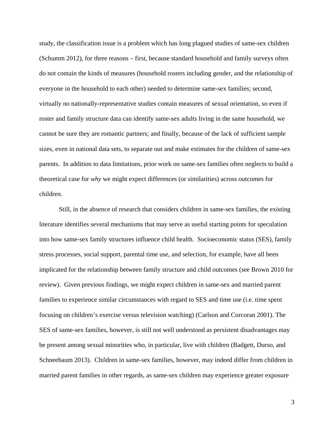study, the classification issue is a problem which has long plagued studies of same-sex children (Schumm 2012), for three reasons – first, because standard household and family surveys often do not contain the kinds of measures (household rosters including gender, and the relationship of everyone in the household to each other) needed to determine same-sex families; second, virtually no nationally-representative studies contain measures of sexual orientation, so even if roster and family structure data can identify same-sex adults living in the same household, we cannot be sure they are romantic partners; and finally, because of the lack of sufficient sample sizes, even in national data sets, to separate out and make estimates for the children of same-sex parents. In addition to data limitations, prior work on same-sex families often neglects to build a theoretical case for *why* we might expect differences (or similarities) across outcomes for children.

Still, in the absence of research that considers children in same-sex families, the existing literature identifies several mechanisms that may serve as useful starting points for speculation into how same-sex family structures influence child health. Socioeconomic status (SES), family stress processes, social support, parental time use, and selection, for example, have all been implicated for the relationship between family structure and child outcomes (see Brown 2010 for review). Given previous findings, we might expect children in same-sex and married parent families to experience similar circumstances with regard to SES and time use (i.e. time spent focusing on children's exercise versus television watching) (Carlson and Corcoran 2001). The SES of same-sex families, however, is still not well understood as persistent disadvantages may be present among sexual minorities who, in particular, live with children (Badgett, Durso, and Schneebaum 2013). Children in same-sex families, however, may indeed differ from children in married parent families in other regards, as same-sex children may experience greater exposure

3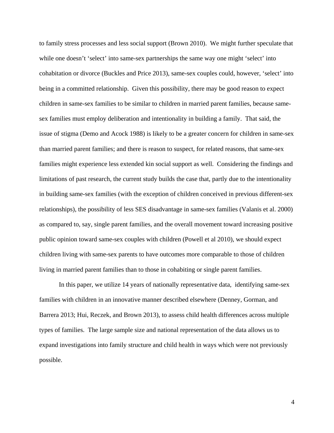to family stress processes and less social support (Brown 2010). We might further speculate that while one doesn't 'select' into same-sex partnerships the same way one might 'select' into cohabitation or divorce (Buckles and Price 2013), same-sex couples could, however, 'select' into being in a committed relationship. Given this possibility, there may be good reason to expect children in same-sex families to be similar to children in married parent families, because samesex families must employ deliberation and intentionality in building a family. That said, the issue of stigma (Demo and Acock 1988) is likely to be a greater concern for children in same-sex than married parent families; and there is reason to suspect, for related reasons, that same-sex families might experience less extended kin social support as well. Considering the findings and limitations of past research, the current study builds the case that, partly due to the intentionality in building same-sex families (with the exception of children conceived in previous different-sex relationships), the possibility of less SES disadvantage in same-sex families (Valanis et al. 2000) as compared to, say, single parent families, and the overall movement toward increasing positive public opinion toward same-sex couples with children (Powell et al 2010), we should expect children living with same-sex parents to have outcomes more comparable to those of children living in married parent families than to those in cohabiting or single parent families.

In this paper, we utilize 14 years of nationally representative data, identifying same-sex families with children in an innovative manner described elsewhere (Denney, Gorman, and Barrera 2013; Hui, Reczek, and Brown 2013), to assess child health differences across multiple types of families. The large sample size and national representation of the data allows us to expand investigations into family structure and child health in ways which were not previously possible.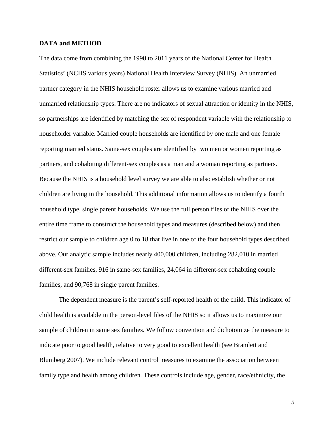# **DATA and METHOD**

The data come from combining the 1998 to 2011 years of the National Center for Health Statistics' (NCHS various years) National Health Interview Survey (NHIS). An unmarried partner category in the NHIS household roster allows us to examine various married and unmarried relationship types. There are no indicators of sexual attraction or identity in the NHIS, so partnerships are identified by matching the sex of respondent variable with the relationship to householder variable. Married couple households are identified by one male and one female reporting married status. Same-sex couples are identified by two men or women reporting as partners, and cohabiting different-sex couples as a man and a woman reporting as partners. Because the NHIS is a household level survey we are able to also establish whether or not children are living in the household. This additional information allows us to identify a fourth household type, single parent households. We use the full person files of the NHIS over the entire time frame to construct the household types and measures (described below) and then restrict our sample to children age 0 to 18 that live in one of the four household types described above. Our analytic sample includes nearly 400,000 children, including 282,010 in married different-sex families, 916 in same-sex families, 24,064 in different-sex cohabiting couple families, and 90,768 in single parent families.

 The dependent measure is the parent's self-reported health of the child. This indicator of child health is available in the person-level files of the NHIS so it allows us to maximize our sample of children in same sex families. We follow convention and dichotomize the measure to indicate poor to good health, relative to very good to excellent health (see Bramlett and Blumberg 2007). We include relevant control measures to examine the association between family type and health among children. These controls include age, gender, race/ethnicity, the

5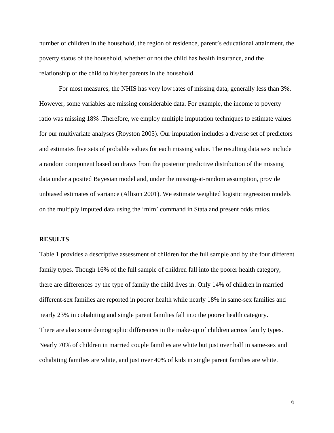number of children in the household, the region of residence, parent's educational attainment, the poverty status of the household, whether or not the child has health insurance, and the relationship of the child to his/her parents in the household.

 For most measures, the NHIS has very low rates of missing data, generally less than 3%. However, some variables are missing considerable data. For example, the income to poverty ratio was missing 18% .Therefore, we employ multiple imputation techniques to estimate values for our multivariate analyses (Royston 2005). Our imputation includes a diverse set of predictors and estimates five sets of probable values for each missing value. The resulting data sets include a random component based on draws from the posterior predictive distribution of the missing data under a posited Bayesian model and, under the missing-at-random assumption, provide unbiased estimates of variance (Allison 2001). We estimate weighted logistic regression models on the multiply imputed data using the 'mim' command in Stata and present odds ratios.

## **RESULTS**

Table 1 provides a descriptive assessment of children for the full sample and by the four different family types. Though 16% of the full sample of children fall into the poorer health category, there are differences by the type of family the child lives in. Only 14% of children in married different-sex families are reported in poorer health while nearly 18% in same-sex families and nearly 23% in cohabiting and single parent families fall into the poorer health category. There are also some demographic differences in the make-up of children across family types. Nearly 70% of children in married couple families are white but just over half in same-sex and cohabiting families are white, and just over 40% of kids in single parent families are white.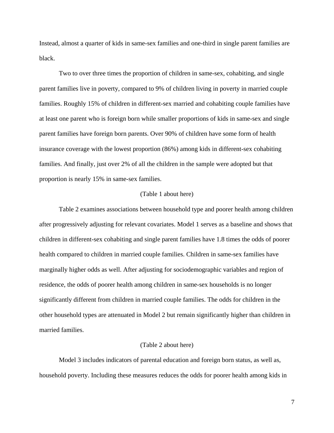Instead, almost a quarter of kids in same-sex families and one-third in single parent families are black.

Two to over three times the proportion of children in same-sex, cohabiting, and single parent families live in poverty, compared to 9% of children living in poverty in married couple families. Roughly 15% of children in different-sex married and cohabiting couple families have at least one parent who is foreign born while smaller proportions of kids in same-sex and single parent families have foreign born parents. Over 90% of children have some form of health insurance coverage with the lowest proportion (86%) among kids in different-sex cohabiting families. And finally, just over 2% of all the children in the sample were adopted but that proportion is nearly 15% in same-sex families.

#### (Table 1 about here)

 Table 2 examines associations between household type and poorer health among children after progressively adjusting for relevant covariates. Model 1 serves as a baseline and shows that children in different-sex cohabiting and single parent families have 1.8 times the odds of poorer health compared to children in married couple families. Children in same-sex families have marginally higher odds as well. After adjusting for sociodemographic variables and region of residence, the odds of poorer health among children in same-sex households is no longer significantly different from children in married couple families. The odds for children in the other household types are attenuated in Model 2 but remain significantly higher than children in married families.

#### (Table 2 about here)

 Model 3 includes indicators of parental education and foreign born status, as well as, household poverty. Including these measures reduces the odds for poorer health among kids in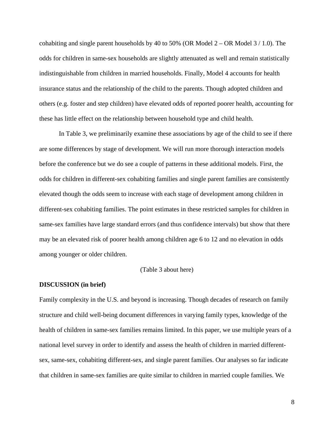cohabiting and single parent households by 40 to 50% (OR Model  $2 - OR$  Model  $3 / 1.0$ ). The odds for children in same-sex households are slightly attenuated as well and remain statistically indistinguishable from children in married households. Finally, Model 4 accounts for health insurance status and the relationship of the child to the parents. Though adopted children and others (e.g. foster and step children) have elevated odds of reported poorer health, accounting for these has little effect on the relationship between household type and child health.

 In Table 3, we preliminarily examine these associations by age of the child to see if there are some differences by stage of development. We will run more thorough interaction models before the conference but we do see a couple of patterns in these additional models. First, the odds for children in different-sex cohabiting families and single parent families are consistently elevated though the odds seem to increase with each stage of development among children in different-sex cohabiting families. The point estimates in these restricted samples for children in same-sex families have large standard errors (and thus confidence intervals) but show that there may be an elevated risk of poorer health among children age 6 to 12 and no elevation in odds among younger or older children.

#### (Table 3 about here)

# **DISCUSSION (in brief)**

Family complexity in the U.S. and beyond is increasing. Though decades of research on family structure and child well-being document differences in varying family types, knowledge of the health of children in same-sex families remains limited. In this paper, we use multiple years of a national level survey in order to identify and assess the health of children in married differentsex, same-sex, cohabiting different-sex, and single parent families. Our analyses so far indicate that children in same-sex families are quite similar to children in married couple families. We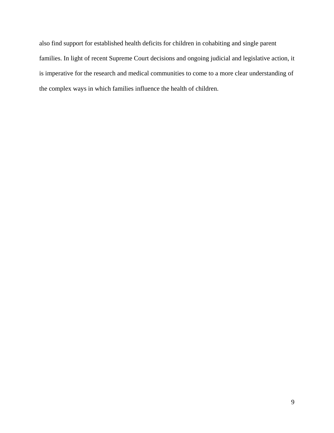also find support for established health deficits for children in cohabiting and single parent families. In light of recent Supreme Court decisions and ongoing judicial and legislative action, it is imperative for the research and medical communities to come to a more clear understanding of the complex ways in which families influence the health of children.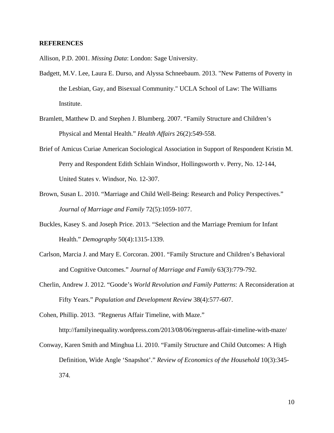# **REFERENCES**

Allison, P.D. 2001. *Missing Data*: London: Sage University.

- Badgett, M.V. Lee, Laura E. Durso, and Alyssa Schneebaum. 2013. "New Patterns of Poverty in the Lesbian, Gay, and Bisexual Community." UCLA School of Law: The Williams Institute.
- Bramlett, Matthew D. and Stephen J. Blumberg. 2007. "Family Structure and Children's Physical and Mental Health." *Health Affairs* 26(2):549-558.
- Brief of Amicus Curiae American Sociological Association in Support of Respondent Kristin M. Perry and Respondent Edith Schlain Windsor, Hollingsworth v. Perry, No. 12-144, United States v. Windsor, No. 12-307.
- Brown, Susan L. 2010. "Marriage and Child Well-Being: Research and Policy Perspectives." *Journal of Marriage and Family* 72(5):1059-1077.
- Buckles, Kasey S. and Joseph Price. 2013. "Selection and the Marriage Premium for Infant Health." *Demography* 50(4):1315-1339.
- Carlson, Marcia J. and Mary E. Corcoran. 2001. "Family Structure and Children's Behavioral and Cognitive Outcomes." *Journal of Marriage and Family* 63(3):779-792.
- Cherlin, Andrew J. 2012. "Goode's *World Revolution and Family Patterns*: A Reconsideration at Fifty Years." *Population and Development Review* 38(4):577-607.

Cohen, Phillip. 2013. "Regnerus Affair Timeline, with Maze." http://familyinequality.wordpress.com/2013/08/06/regnerus-affair-timeline-with-maze/

Conway, Karen Smith and Minghua Li. 2010. "Family Structure and Child Outcomes: A High Definition, Wide Angle 'Snapshot'." *Review of Economics of the Household* 10(3):345- 374.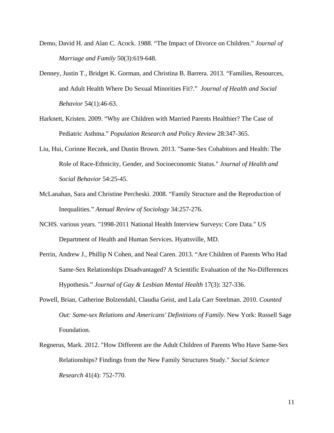- Demo, David H. and Alan C. Acock. 1988. "The Impact of Divorce on Children." *Journal of Marriage and Family* 50(3):619-648.
- Denney, Justin T., Bridget K. Gorman, and Christina B. Barrera. 2013. "Families, Resources, and Adult Health Where Do Sexual Minorities Fit?." *Journal of Health and Social Behavior* 54(1):46-63.
- Harknett, Kristen. 2009. "Why are Children with Married Parents Healthier? The Case of Pediatric Asthma." *Population Research and Policy Review* 28:347-365.
- Liu, Hui, Corinne Reczek, and Dustin Brown. 2013. "Same-Sex Cohabitors and Health: The Role of Race-Ethnicity, Gender, and Socioeconomic Status." *Journal of Health and Social Behavior* 54:25-45.
- McLanahan, Sara and Christine Percheski. 2008. "Family Structure and the Reproduction of Inequalities." *Annual Review of Sociology* 34:257-276.
- NCHS. various years. "1998-2011 National Health Interview Surveys: Core Data." US Department of Health and Human Services. Hyattsville, MD.
- Perrin, Andrew J., Phillip N Cohen, and Neal Caren. 2013. "Are Children of Parents Who Had Same-Sex Relationships Disadvantaged? A Scientific Evaluation of the No-Differences Hypothesis." *Journal of Gay & Lesbian Mental Health* 17(3): 327-336.
- Powell, Brian, Catherine Bolzendahl, Claudia Geist, and Lala Carr Steelman. 2010. *Counted Out: Same-sex Relations and Americans' Definitions of Family*. New York: Russell Sage Foundation.
- Regnerus, Mark. 2012. "How Different are the Adult Children of Parents Who Have Same-Sex Relationships? Findings from the New Family Structures Study." *Social Science Research* 41(4): 752-770.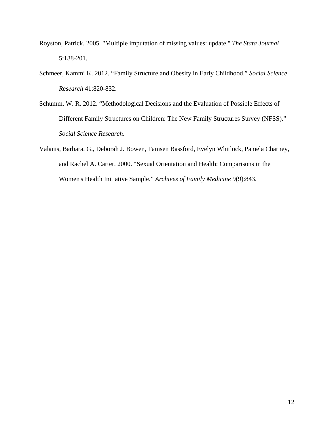- Royston, Patrick. 2005. "Multiple imputation of missing values: update." *The Stata Journal* 5:188-201.
- Schmeer, Kammi K. 2012. "Family Structure and Obesity in Early Childhood." *Social Science Research* 41:820-832.
- Schumm, W. R. 2012. "Methodological Decisions and the Evaluation of Possible Effects of Different Family Structures on Children: The New Family Structures Survey (NFSS)." *Social Science Research*.
- Valanis, Barbara. G., Deborah J. Bowen, Tamsen Bassford, Evelyn Whitlock, Pamela Charney, and Rachel A. Carter. 2000. "Sexual Orientation and Health: Comparisons in the Women's Health Initiative Sample." *Archives of Family Medicine* 9(9):843.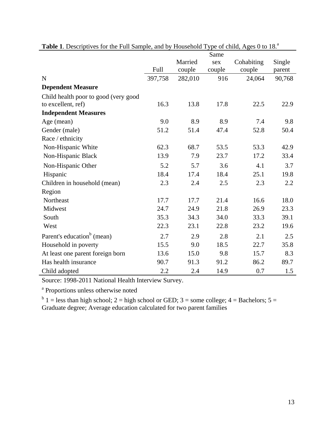|                                        |         | Same    |        |            |        |  |  |
|----------------------------------------|---------|---------|--------|------------|--------|--|--|
|                                        |         | Married | sex    | Cohabiting | Single |  |  |
|                                        | Full    | couple  | couple | couple     | parent |  |  |
| $\mathbf N$                            | 397,758 | 282,010 | 916    | 24,064     | 90,768 |  |  |
| <b>Dependent Measure</b>               |         |         |        |            |        |  |  |
| Child health poor to good (very good   |         |         |        |            |        |  |  |
| to excellent, ref)                     | 16.3    | 13.8    | 17.8   | 22.5       | 22.9   |  |  |
| <b>Independent Measures</b>            |         |         |        |            |        |  |  |
| Age (mean)                             | 9.0     | 8.9     | 8.9    | 7.4        | 9.8    |  |  |
| Gender (male)                          | 51.2    | 51.4    | 47.4   | 52.8       | 50.4   |  |  |
| Race / ethnicity                       |         |         |        |            |        |  |  |
| Non-Hispanic White                     | 62.3    | 68.7    | 53.5   | 53.3       | 42.9   |  |  |
| Non-Hispanic Black                     | 13.9    | 7.9     | 23.7   | 17.2       | 33.4   |  |  |
| Non-Hispanic Other                     | 5.2     | 5.7     | 3.6    | 4.1        | 3.7    |  |  |
| Hispanic                               | 18.4    | 17.4    | 18.4   | 25.1       | 19.8   |  |  |
| Children in household (mean)           | 2.3     | 2.4     | 2.5    | 2.3        | 2.2    |  |  |
| Region                                 |         |         |        |            |        |  |  |
| Northeast                              | 17.7    | 17.7    | 21.4   | 16.6       | 18.0   |  |  |
| Midwest                                | 24.7    | 24.9    | 21.8   | 26.9       | 23.3   |  |  |
| South                                  | 35.3    | 34.3    | 34.0   | 33.3       | 39.1   |  |  |
| West                                   | 22.3    | 23.1    | 22.8   | 23.2       | 19.6   |  |  |
| Parent's education <sup>b</sup> (mean) | 2.7     | 2.9     | 2.8    | 2.1        | 2.5    |  |  |
| Household in poverty                   | 15.5    | 9.0     | 18.5   | 22.7       | 35.8   |  |  |
| At least one parent foreign born       | 13.6    | 15.0    | 9.8    | 15.7       | 8.3    |  |  |
| Has health insurance                   | 90.7    | 91.3    | 91.2   | 86.2       | 89.7   |  |  |
| Child adopted                          | 2.2     | 2.4     | 14.9   | 0.7        | 1.5    |  |  |

| Table 1. Descriptives for the Full Sample, and by Household Type of child, Ages 0 to 18. <sup>a</sup> |
|-------------------------------------------------------------------------------------------------------|
|-------------------------------------------------------------------------------------------------------|

Source: 1998-2011 National Health Interview Survey.

<sup>a</sup> Proportions unless otherwise noted

 $b<sup>b</sup>$  1 = less than high school; 2 = high school or GED; 3 = some college; 4 = Bachelors; 5 = Graduate degree; Average education calculated for two parent families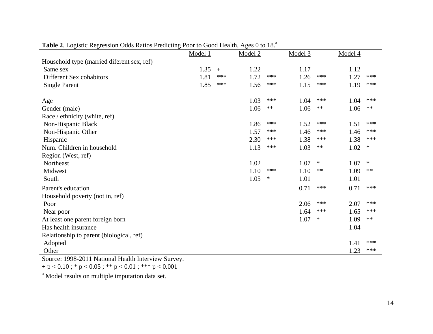|                                            | Model 1 |     | Model 2 |      | Model 3 |        | Model 4 |        |
|--------------------------------------------|---------|-----|---------|------|---------|--------|---------|--------|
| Household type (married diferent sex, ref) |         |     |         |      |         |        |         |        |
| Same sex                                   | 1.35    | $+$ | 1.22    |      | 1.17    |        | 1.12    |        |
| Different Sex cohabitors                   | 1.81    | *** | 1.72    | ***  | 1.26    | ***    | 1.27    | ***    |
| <b>Single Parent</b>                       | 1.85    | *** | 1.56    | ***  | 1.15    | ***    | 1.19    | ***    |
| Age                                        |         |     | 1.03    | ***  | 1.04    | ***    | 1.04    | ***    |
| Gender (male)                              |         |     | 1.06    | $**$ | 1.06    | $**$   | 1.06    | $**$   |
| Race / ethnicity (white, ref)              |         |     |         |      |         |        |         |        |
| Non-Hispanic Black                         |         |     | 1.86    | ***  | 1.52    | ***    | 1.51    | ***    |
| Non-Hispanic Other                         |         |     | 1.57    | ***  | 1.46    | ***    | 1.46    | ***    |
| Hispanic                                   |         |     | 2.30    | ***  | 1.38    | ***    | 1.38    | ***    |
| Num. Children in household                 |         |     | 1.13    | ***  | 1.03    | $**$   | 1.02    | $\ast$ |
| Region (West, ref)                         |         |     |         |      |         |        |         |        |
| Northeast                                  |         |     | 1.02    |      | 1.07    | $\ast$ | 1.07    | $\ast$ |
| Midwest                                    |         |     | 1.10    | ***  | 1.10    | $**$   | 1.09    | $**$   |
| South                                      |         |     | 1.05    | ∗    | 1.01    |        | 1.01    |        |
| Parent's education                         |         |     |         |      | 0.71    | ***    | 0.71    | ***    |
| Household poverty (not in, ref)            |         |     |         |      |         |        |         |        |
| Poor                                       |         |     |         |      | 2.06    | ***    | 2.07    | ***    |
| Near poor                                  |         |     |         |      | 1.64    | ***    | 1.65    | ***    |
| At least one parent foreign born           |         |     |         |      | 1.07    | $\ast$ | 1.09    | $**$   |
| Has health insurance                       |         |     |         |      |         |        | 1.04    |        |
| Relationship to parent (biological, ref)   |         |     |         |      |         |        |         |        |
| Adopted                                    |         |     |         |      |         |        | 1.41    | ***    |
| Other                                      |         |     |         |      |         |        | 1.23    | ***    |

# Table 2. Logistic Regression Odds Ratios Predicting Poor to Good Health, Ages 0 to 18.<sup>a</sup>

Source: 1998-2011 National Health Interview Survey.

 $+$  p  $<$  0.10 ; \* p  $<$  0.05 ; \*\* p  $<$  0.01 ; \*\*\* p  $<$  0.001

a Model results on multiple imputation data set.